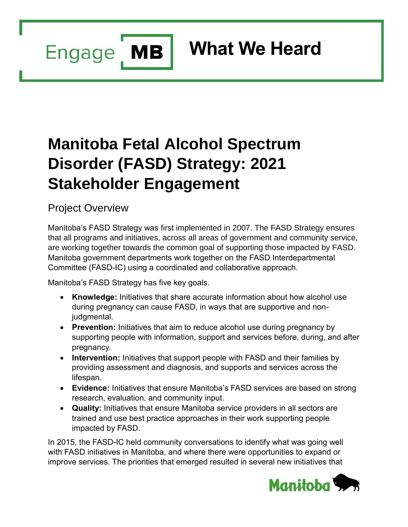Engage MB

# **What We Heard**

# **Manitoba Fetal Alcohol Spectrum Disorder (FASD) Strategy: 2021 Stakeholder Engagement**

Project Overview

Manitoba's FASD Strategy was first implemented in 2007. The FASD Strategy ensures that all programs and initiatives, across all areas of government and community service, are working together towards the common goal of supporting those impacted by FASD. Manitoba government departments work together on the FASD Interdepartmental Committee (FASD-IC) using a coordinated and collaborative approach.

Manitoba's FASD Strategy has five key goals.

- **Knowledge:** Initiatives that share accurate information about how alcohol use during pregnancy can cause FASD, in ways that are supportive and nonjudgmental.
- **Prevention:** Initiatives that aim to reduce alcohol use during pregnancy by supporting people with information, support and services before, during, and after pregnancy.
- **Intervention:** Initiatives that support people with FASD and their families by providing assessment and diagnosis, and supports and services across the lifespan.
- **Evidence:** Initiatives that ensure Manitoba's FASD services are based on strong research, evaluation, and community input.
- **Quality:** Initiatives that ensure Manitoba service providers in all sectors are trained and use best practice approaches in their work supporting people impacted by FASD.

In 2015, the FASD-IC held community conversations to identify what was going well with FASD initiatives in Manitoba, and where there were opportunities to expand or improve services. The priorities that emerged resulted in several new initiatives that

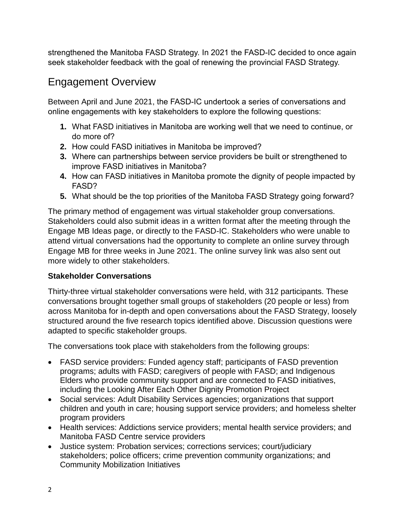strengthened the Manitoba FASD Strategy. In 2021 the FASD-IC decided to once again seek stakeholder feedback with the goal of renewing the provincial FASD Strategy.

## Engagement Overview

Between April and June 2021, the FASD-IC undertook a series of conversations and online engagements with key stakeholders to explore the following questions:

- **1.** What FASD initiatives in Manitoba are working well that we need to continue, or do more of?
- **2.** How could FASD initiatives in Manitoba be improved?
- **3.** Where can partnerships between service providers be built or strengthened to improve FASD initiatives in Manitoba?
- **4.** How can FASD initiatives in Manitoba promote the dignity of people impacted by FASD?
- **5.** What should be the top priorities of the Manitoba FASD Strategy going forward?

The primary method of engagement was virtual stakeholder group conversations. Stakeholders could also submit ideas in a written format after the meeting through the Engage MB Ideas page, or directly to the FASD-IC. Stakeholders who were unable to attend virtual conversations had the opportunity to complete an online survey through Engage MB for three weeks in June 2021. The online survey link was also sent out more widely to other stakeholders.

#### **Stakeholder Conversations**

Thirty-three virtual stakeholder conversations were held, with 312 participants. These conversations brought together small groups of stakeholders (20 people or less) from across Manitoba for in-depth and open conversations about the FASD Strategy, loosely structured around the five research topics identified above. Discussion questions were adapted to specific stakeholder groups.

The conversations took place with stakeholders from the following groups:

- FASD service providers: Funded agency staff; participants of FASD prevention programs; adults with FASD; caregivers of people with FASD; and Indigenous Elders who provide community support and are connected to FASD initiatives, including the Looking After Each Other Dignity Promotion Project
- Social services: Adult Disability Services agencies; organizations that support children and youth in care; housing support service providers; and homeless shelter program providers
- Health services: Addictions service providers; mental health service providers; and Manitoba FASD Centre service providers
- Justice system: Probation services; corrections services; court/judiciary stakeholders; police officers; crime prevention community organizations; and Community Mobilization Initiatives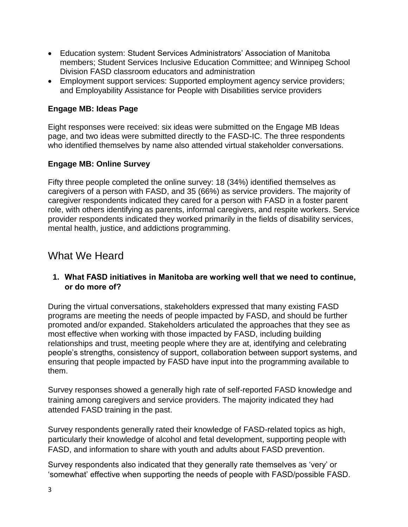- Education system: Student Services Administrators' Association of Manitoba members; Student Services Inclusive Education Committee; and Winnipeg School Division FASD classroom educators and administration
- Employment support services: Supported employment agency service providers; and Employability Assistance for People with Disabilities service providers

#### **Engage MB: Ideas Page**

Eight responses were received: six ideas were submitted on the Engage MB Ideas page, and two ideas were submitted directly to the FASD-IC. The three respondents who identified themselves by name also attended virtual stakeholder conversations.

#### **Engage MB: Online Survey**

Fifty three people completed the online survey: 18 (34%) identified themselves as caregivers of a person with FASD, and 35 (66%) as service providers. The majority of caregiver respondents indicated they cared for a person with FASD in a foster parent role, with others identifying as parents, informal caregivers, and respite workers. Service provider respondents indicated they worked primarily in the fields of disability services, mental health, justice, and addictions programming.

### What We Heard

#### **1. What FASD initiatives in Manitoba are working well that we need to continue, or do more of?**

During the virtual conversations, stakeholders expressed that many existing FASD programs are meeting the needs of people impacted by FASD, and should be further promoted and/or expanded. Stakeholders articulated the approaches that they see as most effective when working with those impacted by FASD, including building relationships and trust, meeting people where they are at, identifying and celebrating people's strengths, consistency of support, collaboration between support systems, and ensuring that people impacted by FASD have input into the programming available to them.

Survey responses showed a generally high rate of self-reported FASD knowledge and training among caregivers and service providers. The majority indicated they had attended FASD training in the past.

Survey respondents generally rated their knowledge of FASD-related topics as high, particularly their knowledge of alcohol and fetal development, supporting people with FASD, and information to share with youth and adults about FASD prevention.

Survey respondents also indicated that they generally rate themselves as 'very' or 'somewhat' effective when supporting the needs of people with FASD/possible FASD.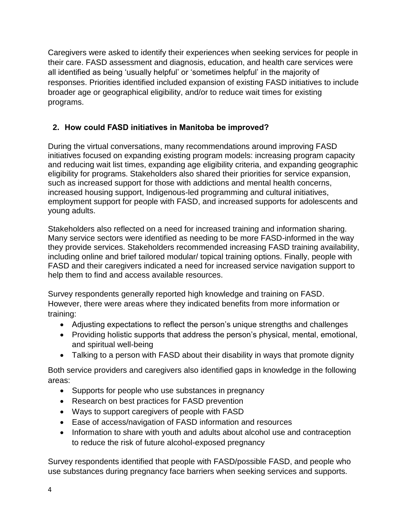Caregivers were asked to identify their experiences when seeking services for people in their care. FASD assessment and diagnosis, education, and health care services were all identified as being 'usually helpful' or 'sometimes helpful' in the majority of responses. Priorities identified included expansion of existing FASD initiatives to include broader age or geographical eligibility, and/or to reduce wait times for existing programs.

#### **2. How could FASD initiatives in Manitoba be improved?**

During the virtual conversations, many recommendations around improving FASD initiatives focused on expanding existing program models: increasing program capacity and reducing wait list times, expanding age eligibility criteria, and expanding geographic eligibility for programs. Stakeholders also shared their priorities for service expansion, such as increased support for those with addictions and mental health concerns, increased housing support, Indigenous-led programming and cultural initiatives, employment support for people with FASD, and increased supports for adolescents and young adults.

Stakeholders also reflected on a need for increased training and information sharing. Many service sectors were identified as needing to be more FASD-informed in the way they provide services. Stakeholders recommended increasing FASD training availability, including online and brief tailored modular/ topical training options. Finally, people with FASD and their caregivers indicated a need for increased service navigation support to help them to find and access available resources.

Survey respondents generally reported high knowledge and training on FASD. However, there were areas where they indicated benefits from more information or training:

- Adjusting expectations to reflect the person's unique strengths and challenges
- Providing holistic supports that address the person's physical, mental, emotional, and spiritual well-being
- Talking to a person with FASD about their disability in ways that promote dignity

Both service providers and caregivers also identified gaps in knowledge in the following areas:

- Supports for people who use substances in pregnancy
- Research on best practices for FASD prevention
- Ways to support caregivers of people with FASD
- Ease of access/navigation of FASD information and resources
- Information to share with youth and adults about alcohol use and contraception to reduce the risk of future alcohol-exposed pregnancy

Survey respondents identified that people with FASD/possible FASD, and people who use substances during pregnancy face barriers when seeking services and supports.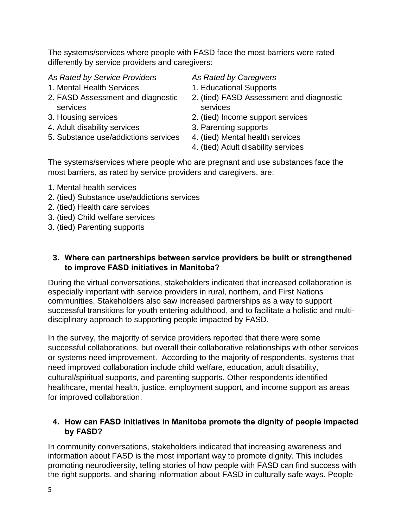The systems/services where people with FASD face the most barriers were rated differently by service providers and caregivers:

*As Rated by Service Providers As Rated by Caregivers*

- 1. Mental Health Services 1. Educational Supports
- services services
- 
- 4. Adult disability services 3. Parenting supports
- 5. Substance use/addictions services 4. (tied) Mental health services

- 
- 2. FASD Assessment and diagnostic 2. (tied) FASD Assessment and diagnostic
- 3. Housing services 2. (tied) Income support services
	-
	-
	- 4. (tied) Adult disability services

The systems/services where people who are pregnant and use substances face the most barriers, as rated by service providers and caregivers, are:

- 1. Mental health services
- 2. (tied) Substance use/addictions services
- 2. (tied) Health care services
- 3. (tied) Child welfare services
- 3. (tied) Parenting supports

#### **3. Where can partnerships between service providers be built or strengthened to improve FASD initiatives in Manitoba?**

During the virtual conversations, stakeholders indicated that increased collaboration is especially important with service providers in rural, northern, and First Nations communities. Stakeholders also saw increased partnerships as a way to support successful transitions for youth entering adulthood, and to facilitate a holistic and multidisciplinary approach to supporting people impacted by FASD.

In the survey, the majority of service providers reported that there were some successful collaborations, but overall their collaborative relationships with other services or systems need improvement. According to the majority of respondents, systems that need improved collaboration include child welfare, education, adult disability, cultural/spiritual supports, and parenting supports. Other respondents identified healthcare, mental health, justice, employment support, and income support as areas for improved collaboration.

#### **4. How can FASD initiatives in Manitoba promote the dignity of people impacted by FASD?**

In community conversations, stakeholders indicated that increasing awareness and information about FASD is the most important way to promote dignity. This includes promoting neurodiversity, telling stories of how people with FASD can find success with the right supports, and sharing information about FASD in culturally safe ways. People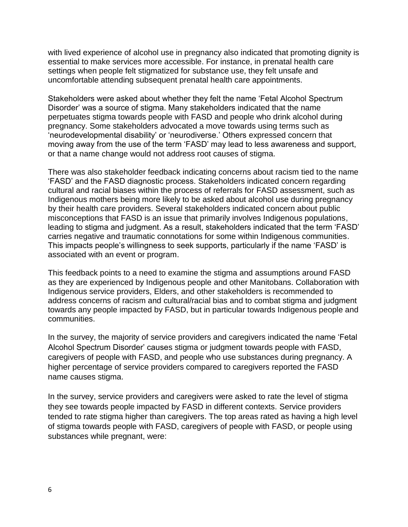with lived experience of alcohol use in pregnancy also indicated that promoting dignity is essential to make services more accessible. For instance, in prenatal health care settings when people felt stigmatized for substance use, they felt unsafe and uncomfortable attending subsequent prenatal health care appointments.

Stakeholders were asked about whether they felt the name 'Fetal Alcohol Spectrum Disorder' was a source of stigma. Many stakeholders indicated that the name perpetuates stigma towards people with FASD and people who drink alcohol during pregnancy. Some stakeholders advocated a move towards using terms such as 'neurodevelopmental disability' or 'neurodiverse.' Others expressed concern that moving away from the use of the term 'FASD' may lead to less awareness and support, or that a name change would not address root causes of stigma.

There was also stakeholder feedback indicating concerns about racism tied to the name 'FASD' and the FASD diagnostic process. Stakeholders indicated concern regarding cultural and racial biases within the process of referrals for FASD assessment, such as Indigenous mothers being more likely to be asked about alcohol use during pregnancy by their health care providers. Several stakeholders indicated concern about public misconceptions that FASD is an issue that primarily involves Indigenous populations, leading to stigma and judgment. As a result, stakeholders indicated that the term 'FASD' carries negative and traumatic connotations for some within Indigenous communities. This impacts people's willingness to seek supports, particularly if the name 'FASD' is associated with an event or program.

This feedback points to a need to examine the stigma and assumptions around FASD as they are experienced by Indigenous people and other Manitobans. Collaboration with Indigenous service providers, Elders, and other stakeholders is recommended to address concerns of racism and cultural/racial bias and to combat stigma and judgment towards any people impacted by FASD, but in particular towards Indigenous people and communities.

In the survey, the majority of service providers and caregivers indicated the name 'Fetal Alcohol Spectrum Disorder' causes stigma or judgment towards people with FASD, caregivers of people with FASD, and people who use substances during pregnancy. A higher percentage of service providers compared to caregivers reported the FASD name causes stigma.

In the survey, service providers and caregivers were asked to rate the level of stigma they see towards people impacted by FASD in different contexts. Service providers tended to rate stigma higher than caregivers. The top areas rated as having a high level of stigma towards people with FASD, caregivers of people with FASD, or people using substances while pregnant, were: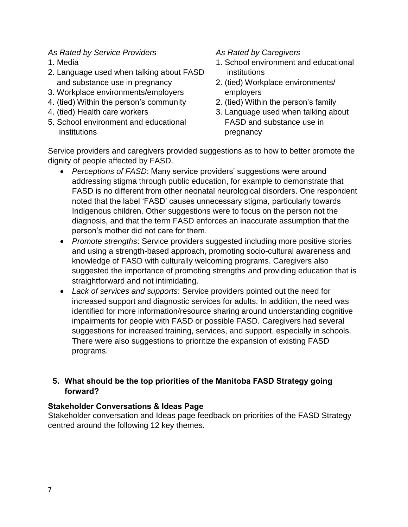#### *As Rated by Service Providers As Rated by Caregivers*

- 
- 2. Language used when talking about FASD institutions and substance use in pregnancy 2. (tied) Workplace environments/
- 3. Workplace environments/employers employers
- 4. (tied) Within the person's community 2. (tied) Within the person's family
- 
- 5. School environment and educational FASD and substance use in institutions **pregnancy**

- 1. Media 1. School environment and educational
	-
	-
- 4. (tied) Health care workers 3. Language used when talking about

Service providers and caregivers provided suggestions as to how to better promote the dignity of people affected by FASD.

- *Perceptions of FASD*: Many service providers' suggestions were around addressing stigma through public education, for example to demonstrate that FASD is no different from other neonatal neurological disorders. One respondent noted that the label 'FASD' causes unnecessary stigma, particularly towards Indigenous children. Other suggestions were to focus on the person not the diagnosis, and that the term FASD enforces an inaccurate assumption that the person's mother did not care for them.
- *Promote strengths*: Service providers suggested including more positive stories and using a strength-based approach, promoting socio-cultural awareness and knowledge of FASD with culturally welcoming programs. Caregivers also suggested the importance of promoting strengths and providing education that is straightforward and not intimidating.
- *Lack of services and supports*: Service providers pointed out the need for increased support and diagnostic services for adults. In addition, the need was identified for more information/resource sharing around understanding cognitive impairments for people with FASD or possible FASD. Caregivers had several suggestions for increased training, services, and support, especially in schools. There were also suggestions to prioritize the expansion of existing FASD programs.

#### **5. What should be the top priorities of the Manitoba FASD Strategy going forward?**

#### **Stakeholder Conversations & Ideas Page**

Stakeholder conversation and Ideas page feedback on priorities of the FASD Strategy centred around the following 12 key themes.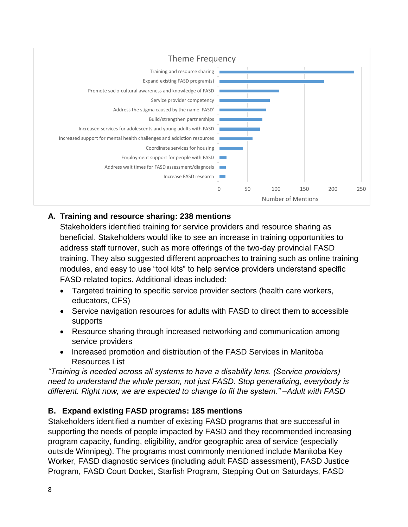

#### **A. Training and resource sharing: 238 mentions**

Stakeholders identified training for service providers and resource sharing as beneficial. Stakeholders would like to see an increase in training opportunities to address staff turnover, such as more offerings of the two-day provincial FASD training. They also suggested different approaches to training such as online training modules, and easy to use "tool kits" to help service providers understand specific FASD-related topics. Additional ideas included:

- Targeted training to specific service provider sectors (health care workers, educators, CFS)
- Service navigation resources for adults with FASD to direct them to accessible supports
- Resource sharing through increased networking and communication among service providers
- Increased promotion and distribution of the FASD Services in Manitoba Resources List

*"Training is needed across all systems to have a disability lens. (Service providers) need to understand the whole person, not just FASD. Stop generalizing, everybody is different. Right now, we are expected to change to fit the system." –Adult with FASD*

#### **B. Expand existing FASD programs: 185 mentions**

Stakeholders identified a number of existing FASD programs that are successful in supporting the needs of people impacted by FASD and they recommended increasing program capacity, funding, eligibility, and/or geographic area of service (especially outside Winnipeg). The programs most commonly mentioned include Manitoba Key Worker, FASD diagnostic services (including adult FASD assessment), FASD Justice Program, FASD Court Docket, Starfish Program, Stepping Out on Saturdays, FASD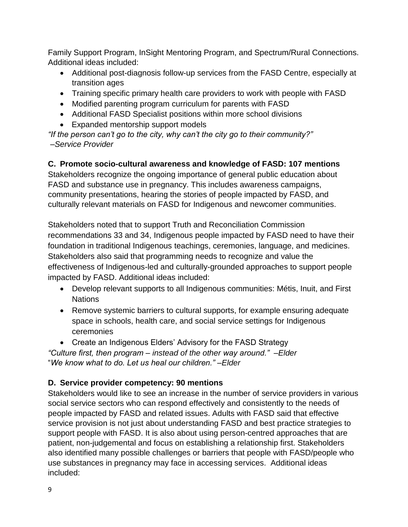Family Support Program, InSight Mentoring Program, and Spectrum/Rural Connections. Additional ideas included:

- Additional post-diagnosis follow-up services from the FASD Centre, especially at transition ages
- Training specific primary health care providers to work with people with FASD
- Modified parenting program curriculum for parents with FASD
- Additional FASD Specialist positions within more school divisions
- Expanded mentorship support models

*"If the person can't go to the city, why can't the city go to their community?" –Service Provider* 

#### **C. Promote socio-cultural awareness and knowledge of FASD: 107 mentions**

Stakeholders recognize the ongoing importance of general public education about FASD and substance use in pregnancy. This includes awareness campaigns, community presentations, hearing the stories of people impacted by FASD, and culturally relevant materials on FASD for Indigenous and newcomer communities.

Stakeholders noted that to support Truth and Reconciliation Commission recommendations 33 and 34, Indigenous people impacted by FASD need to have their foundation in traditional Indigenous teachings, ceremonies, language, and medicines. Stakeholders also said that programming needs to recognize and value the effectiveness of Indigenous-led and culturally-grounded approaches to support people impacted by FASD. Additional ideas included:

- Develop relevant supports to all Indigenous communities: Métis, Inuit, and First **Nations**
- Remove systemic barriers to cultural supports, for example ensuring adequate space in schools, health care, and social service settings for Indigenous ceremonies
- Create an Indigenous Elders' Advisory for the FASD Strategy

*"Culture first, then program – instead of the other way around." –Elder* "*We know what to do. Let us heal our children." –Elder*

#### **D. Service provider competency: 90 mentions**

Stakeholders would like to see an increase in the number of service providers in various social service sectors who can respond effectively and consistently to the needs of people impacted by FASD and related issues. Adults with FASD said that effective service provision is not just about understanding FASD and best practice strategies to support people with FASD. It is also about using person-centred approaches that are patient, non-judgemental and focus on establishing a relationship first. Stakeholders also identified many possible challenges or barriers that people with FASD/people who use substances in pregnancy may face in accessing services. Additional ideas included: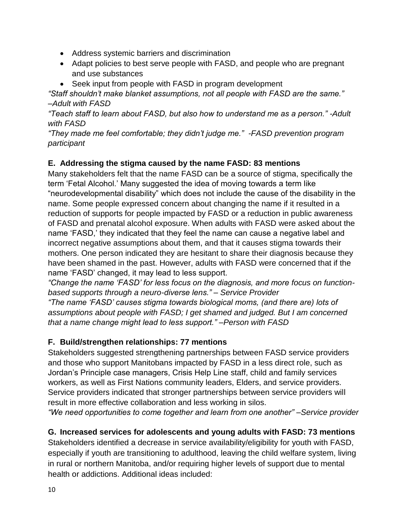- Address systemic barriers and discrimination
- Adapt policies to best serve people with FASD, and people who are pregnant and use substances
- Seek input from people with FASD in program development

*"Staff shouldn't make blanket assumptions, not all people with FASD are the same." –Adult with FASD*

*"Teach staff to learn about FASD, but also how to understand me as a person." -Adult with FASD* 

*"They made me feel comfortable; they didn't judge me." -FASD prevention program participant*

#### **E. Addressing the stigma caused by the name FASD: 83 mentions**

Many stakeholders felt that the name FASD can be a source of stigma, specifically the term 'Fetal Alcohol.' Many suggested the idea of moving towards a term like "neurodevelopmental disability" which does not include the cause of the disability in the name. Some people expressed concern about changing the name if it resulted in a reduction of supports for people impacted by FASD or a reduction in public awareness of FASD and prenatal alcohol exposure. When adults with FASD were asked about the name 'FASD,' they indicated that they feel the name can cause a negative label and incorrect negative assumptions about them, and that it causes stigma towards their mothers. One person indicated they are hesitant to share their diagnosis because they have been shamed in the past. However, adults with FASD were concerned that if the name 'FASD' changed, it may lead to less support.

*"Change the name 'FASD' for less focus on the diagnosis, and more focus on functionbased supports through a neuro-diverse lens." – Service Provider*

*"The name 'FASD' causes stigma towards biological moms, (and there are) lots of assumptions about people with FASD; I get shamed and judged. But I am concerned that a name change might lead to less support." –Person with FASD*

#### **F. Build/strengthen relationships: 77 mentions**

Stakeholders suggested strengthening partnerships between FASD service providers and those who support Manitobans impacted by FASD in a less direct role, such as Jordan's Principle case managers, Crisis Help Line staff, child and family services workers, as well as First Nations community leaders, Elders, and service providers. Service providers indicated that stronger partnerships between service providers will result in more effective collaboration and less working in silos.

*"We need opportunities to come together and learn from one another" –Service provider*

#### **G. Increased services for adolescents and young adults with FASD: 73 mentions**

Stakeholders identified a decrease in service availability/eligibility for youth with FASD, especially if youth are transitioning to adulthood, leaving the child welfare system, living in rural or northern Manitoba, and/or requiring higher levels of support due to mental health or addictions. Additional ideas included: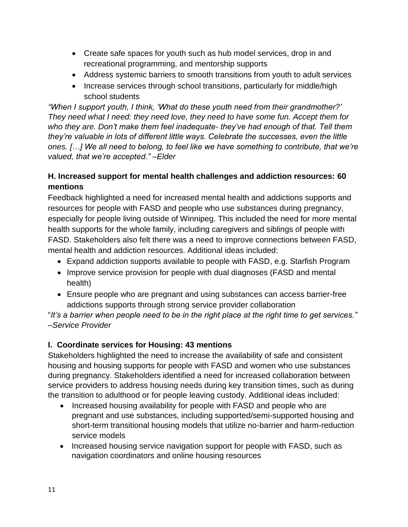- Create safe spaces for youth such as hub model services, drop in and recreational programming, and mentorship supports
- Address systemic barriers to smooth transitions from youth to adult services
- Increase services through school transitions, particularly for middle/high school students

*"When I support youth, I think, 'What do these youth need from their grandmother?' They need what I need: they need love, they need to have some fun. Accept them for who they are. Don't make them feel inadequate- they've had enough of that. Tell them they're valuable in lots of different little ways. Celebrate the successes, even the little ones. […] We all need to belong, to feel like we have something to contribute, that we're valued, that we're accepted." –Elder*

#### **H. Increased support for mental health challenges and addiction resources: 60 mentions**

Feedback highlighted a need for increased mental health and addictions supports and resources for people with FASD and people who use substances during pregnancy, especially for people living outside of Winnipeg. This included the need for more mental health supports for the whole family, including caregivers and siblings of people with FASD. Stakeholders also felt there was a need to improve connections between FASD, mental health and addiction resources. Additional ideas included:

- Expand addiction supports available to people with FASD, e.g. Starfish Program
- Improve service provision for people with dual diagnoses (FASD and mental health)
- Ensure people who are pregnant and using substances can access barrier-free addictions supports through strong service provider collaboration

"*It's a barrier when people need to be in the right place at the right time to get services." –Service Provider*

#### **I. Coordinate services for Housing: 43 mentions**

Stakeholders highlighted the need to increase the availability of safe and consistent housing and housing supports for people with FASD and women who use substances during pregnancy. Stakeholders identified a need for increased collaboration between service providers to address housing needs during key transition times, such as during the transition to adulthood or for people leaving custody. Additional ideas included:

- Increased housing availability for people with FASD and people who are pregnant and use substances, including supported/semi-supported housing and short-term transitional housing models that utilize no-barrier and harm-reduction service models
- Increased housing service navigation support for people with FASD, such as navigation coordinators and online housing resources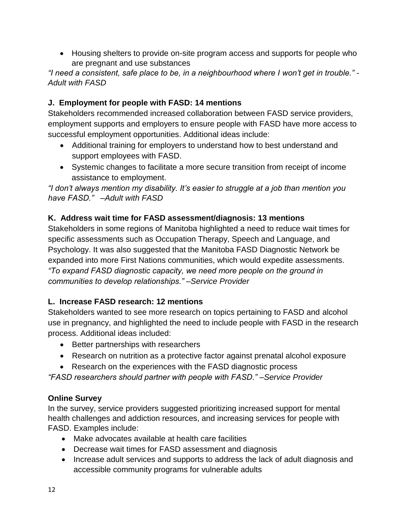Housing shelters to provide on-site program access and supports for people who are pregnant and use substances

*"I need a consistent, safe place to be, in a neighbourhood where I won't get in trouble." - Adult with FASD*

#### **J. Employment for people with FASD: 14 mentions**

Stakeholders recommended increased collaboration between FASD service providers, employment supports and employers to ensure people with FASD have more access to successful employment opportunities. Additional ideas include:

- Additional training for employers to understand how to best understand and support employees with FASD.
- Systemic changes to facilitate a more secure transition from receipt of income assistance to employment.

*"I don't always mention my disability. It's easier to struggle at a job than mention you have FASD." –Adult with FASD*

#### **K. Address wait time for FASD assessment/diagnosis: 13 mentions**

Stakeholders in some regions of Manitoba highlighted a need to reduce wait times for specific assessments such as Occupation Therapy, Speech and Language, and Psychology. It was also suggested that the Manitoba FASD Diagnostic Network be expanded into more First Nations communities, which would expedite assessments. *"To expand FASD diagnostic capacity, we need more people on the ground in communities to develop relationships." –Service Provider*

#### **L. Increase FASD research: 12 mentions**

Stakeholders wanted to see more research on topics pertaining to FASD and alcohol use in pregnancy, and highlighted the need to include people with FASD in the research process. Additional ideas included:

- Better partnerships with researchers
- Research on nutrition as a protective factor against prenatal alcohol exposure
- Research on the experiences with the FASD diagnostic process

*"FASD researchers should partner with people with FASD." –Service Provider*

#### **Online Survey**

In the survey, service providers suggested prioritizing increased support for mental health challenges and addiction resources, and increasing services for people with FASD. Examples include:

- Make advocates available at health care facilities
- Decrease wait times for FASD assessment and diagnosis
- Increase adult services and supports to address the lack of adult diagnosis and accessible community programs for vulnerable adults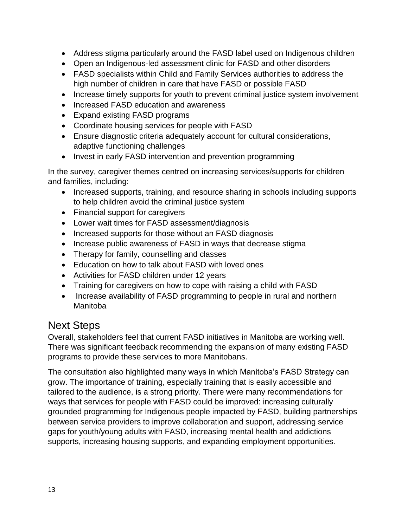- Address stigma particularly around the FASD label used on Indigenous children
- Open an Indigenous-led assessment clinic for FASD and other disorders
- FASD specialists within Child and Family Services authorities to address the high number of children in care that have FASD or possible FASD
- Increase timely supports for youth to prevent criminal justice system involvement
- Increased FASD education and awareness
- Expand existing FASD programs
- Coordinate housing services for people with FASD
- Ensure diagnostic criteria adequately account for cultural considerations, adaptive functioning challenges
- Invest in early FASD intervention and prevention programming

In the survey, caregiver themes centred on increasing services/supports for children and families, including:

- Increased supports, training, and resource sharing in schools including supports to help children avoid the criminal justice system
- Financial support for caregivers
- Lower wait times for FASD assessment/diagnosis
- Increased supports for those without an FASD diagnosis
- Increase public awareness of FASD in ways that decrease stigma
- Therapy for family, counselling and classes
- Education on how to talk about FASD with loved ones
- Activities for FASD children under 12 years
- Training for caregivers on how to cope with raising a child with FASD
- Increase availability of FASD programming to people in rural and northern Manitoba

### Next Steps

Overall, stakeholders feel that current FASD initiatives in Manitoba are working well. There was significant feedback recommending the expansion of many existing FASD programs to provide these services to more Manitobans.

The consultation also highlighted many ways in which Manitoba's FASD Strategy can grow. The importance of training, especially training that is easily accessible and tailored to the audience, is a strong priority. There were many recommendations for ways that services for people with FASD could be improved: increasing culturally grounded programming for Indigenous people impacted by FASD, building partnerships between service providers to improve collaboration and support, addressing service gaps for youth/young adults with FASD, increasing mental health and addictions supports, increasing housing supports, and expanding employment opportunities.